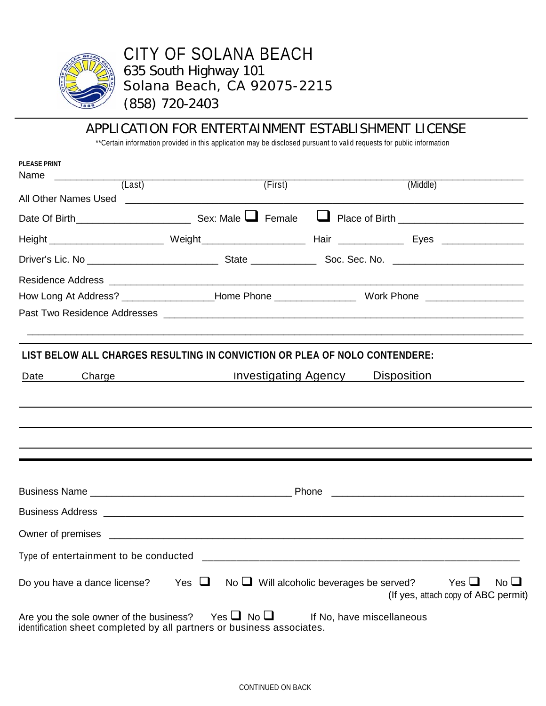

# CITY OF SOLANA BEACH 635 South Highway 101 Solana Beach, CA 92075-2215 (858) 720-2403

## APPLICATION FOR ENTERTAINMENT ESTABLISHMENT LICENSE

\*\*Certain information provided in this application may be disclosed pursuant to valid requests for public information

| <b>PLEASE PRINT</b><br>Name             |                                                                                                               |                                               |                                                                  |
|-----------------------------------------|---------------------------------------------------------------------------------------------------------------|-----------------------------------------------|------------------------------------------------------------------|
| (Last)                                  | (First)                                                                                                       | (Middle)                                      |                                                                  |
|                                         |                                                                                                               |                                               |                                                                  |
|                                         |                                                                                                               |                                               |                                                                  |
|                                         |                                                                                                               |                                               |                                                                  |
|                                         |                                                                                                               |                                               |                                                                  |
|                                         |                                                                                                               |                                               |                                                                  |
|                                         | How Long At Address? ___________________Home Phone _________________________Work Phone ______________________ |                                               |                                                                  |
|                                         |                                                                                                               |                                               |                                                                  |
|                                         | LIST BELOW ALL CHARGES RESULTING IN CONVICTION OR PLEA OF NOLO CONTENDERE:                                    |                                               |                                                                  |
|                                         |                                                                                                               |                                               |                                                                  |
| Date                                    | Charge <b>Charge Example 20</b> Investigating Agency <b>Disposition</b>                                       |                                               |                                                                  |
|                                         |                                                                                                               |                                               |                                                                  |
|                                         |                                                                                                               |                                               |                                                                  |
|                                         |                                                                                                               |                                               |                                                                  |
|                                         |                                                                                                               |                                               |                                                                  |
|                                         |                                                                                                               |                                               |                                                                  |
|                                         |                                                                                                               |                                               |                                                                  |
|                                         |                                                                                                               |                                               |                                                                  |
|                                         |                                                                                                               |                                               |                                                                  |
| Type of entertainment to be conducted   |                                                                                                               |                                               |                                                                  |
| Do you have a dance license?            | Yes $\Box$                                                                                                    | No $\Box$ Will alcoholic beverages be served? | Yes $\Box$<br>$No$ $\Box$<br>(If yes, attach copy of ABC permit) |
| Are you the sole owner of the business? | Yes $\Box$ No $\Box$<br>identification sheet completed by all partners or business associates.                | If No, have miscellaneous                     |                                                                  |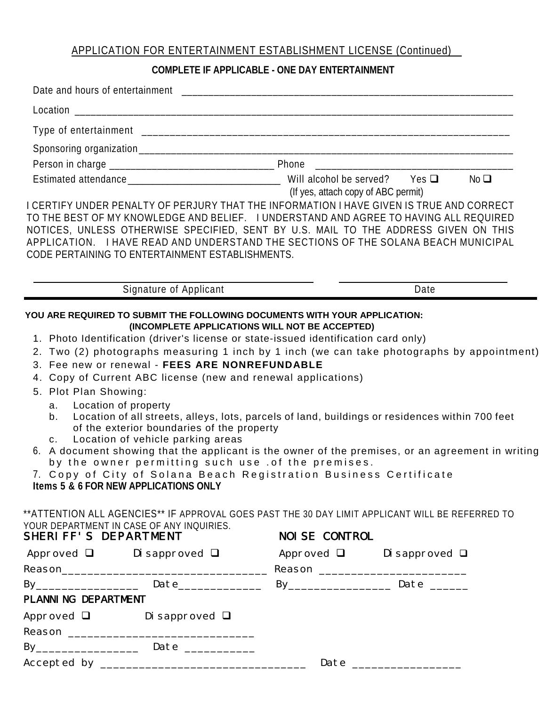## APPLICATION FOR ENTERTAINMENT ESTABLISHMENT LICENSE (Continued)

### **COMPLETE IF APPLICABLE - ONE DAY ENTERTAINMENT**

|                                                     | I CERTIFY UNDER PENALTY OF PERJURY THAT THE INFORMATION I HAVE GIVEN IS TRUE AND CORRECT<br>TO THE BEST OF MY KNOWLEDGE AND BELIEF. I UNDERSTAND AND AGREE TO HAVING ALL REQUIRED<br>NOTICES, UNLESS OTHERWISE SPECIFIED, SENT BY U.S. MAIL TO THE ADDRESS GIVEN ON THIS<br>APPLICATION. I HAVE READ AND UNDERSTAND THE SECTIONS OF THE SOLANA BEACH MUNICIPAL<br>CODE PERTAINING TO ENTERTAINMENT ESTABLISHMENTS.                                                                                                                                                                                                                                                                                    | (If yes, attach copy of ABC permit) |      |  |  |
|-----------------------------------------------------|-------------------------------------------------------------------------------------------------------------------------------------------------------------------------------------------------------------------------------------------------------------------------------------------------------------------------------------------------------------------------------------------------------------------------------------------------------------------------------------------------------------------------------------------------------------------------------------------------------------------------------------------------------------------------------------------------------|-------------------------------------|------|--|--|
|                                                     | Signature of Applicant                                                                                                                                                                                                                                                                                                                                                                                                                                                                                                                                                                                                                                                                                |                                     | Date |  |  |
| 5. Plot Plan Showing:<br>a.<br>b.<br>$\mathsf{C}$ . | 2. Two (2) photographs measuring 1 inch by 1 inch (we can take photographs by appointment)<br>3. Fee new or renewal - FEES ARE NONREFUNDABLE<br>4. Copy of Current ABC license (new and renewal applications)<br>Location of property<br>Location of all streets, alleys, lots, parcels of land, buildings or residences within 700 feet<br>of the exterior boundaries of the property<br>Location of vehicle parking areas<br>6. A document showing that the applicant is the owner of the premises, or an agreement in writing<br>by the owner permitting such use . of the premises.<br>7. Copy of City of Solana Beach Registration Business Certificate<br>Items 5 & 6 FOR NEW APPLICATIONS ONLY |                                     |      |  |  |
| SHERIFF'S DEPARTMENT                                | **ATTENTION ALL AGENCIES** IF APPROVAL GOES PAST THE 30 DAY LIMIT APPLICANT WILL BE REFERRED TO<br>YOUR DEPARTMENT IN CASE OF ANY INQUIRIES.                                                                                                                                                                                                                                                                                                                                                                                                                                                                                                                                                          | <b>NOISE CONTROL</b>                |      |  |  |
|                                                     | Approved $\Box$ Disapproved $\Box$ Approved $\Box$ Disapproved $\Box$                                                                                                                                                                                                                                                                                                                                                                                                                                                                                                                                                                                                                                 |                                     |      |  |  |
|                                                     | By <sub>_________________</sub> Date______________ By________________ Date ______                                                                                                                                                                                                                                                                                                                                                                                                                                                                                                                                                                                                                     |                                     |      |  |  |
| PLANNING DEPARTMENT                                 |                                                                                                                                                                                                                                                                                                                                                                                                                                                                                                                                                                                                                                                                                                       |                                     |      |  |  |
|                                                     | Approved □ Disapproved □                                                                                                                                                                                                                                                                                                                                                                                                                                                                                                                                                                                                                                                                              |                                     |      |  |  |
|                                                     | By__________________ Date ___________                                                                                                                                                                                                                                                                                                                                                                                                                                                                                                                                                                                                                                                                 |                                     |      |  |  |
|                                                     |                                                                                                                                                                                                                                                                                                                                                                                                                                                                                                                                                                                                                                                                                                       |                                     |      |  |  |
|                                                     |                                                                                                                                                                                                                                                                                                                                                                                                                                                                                                                                                                                                                                                                                                       |                                     |      |  |  |